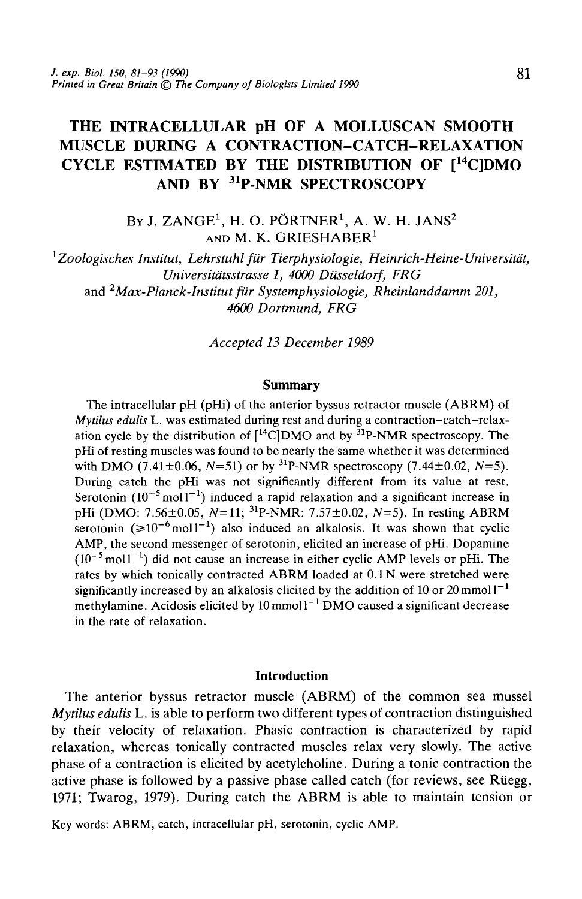# THE INTRACELLULAR pH OF A MOLLUSCAN SMOOTH MUSCLE DURING A CONTRACTION-CATCH-RELAXATION CYCLE ESTIMATED BY THE DISTRIBUTION OF  $I<sup>14</sup>$ ClDMO AND BY 31P-NMR SPECTROSCOPY

By J. ZANGE $^1$ , H. O. PÖRTNER $^1$ , A. W. H. JANS $^2$ AND M. K. GRIESHABER<sup>1</sup>

*1 Zoologisches Institut, Lehrstuhl fiir Tierphysiologie, Heinrich-Heine-Universitat, Universitdtsstrasse 1, 4000 Dusseldorf, FRG* and *2Max-Planck-Institut fur Systemphysiologie, Rheinlanddamm 201, 4600 Dortmund, FRG*

*Accepted 13 December 1989*

#### **Summary**

The intracellular pH (pHi) of the anterior byssus retractor muscle (ABRM) of *Mytilus edulis* L. was estimated during rest and during a contraction-catch-relaxation cycle by the distribution of  $[{}^{14}$ C<sub>l</sub>DMO and by  ${}^{31}$ P-NMR spectroscopy. The pHi of resting muscles was found to be nearly the same whether it was determined with DMO (7.41 $\pm$ 0.06, N=51) or by <sup>31</sup>P-NMR spectroscopy (7.44 $\pm$ 0.02, N=5). During catch the pHi was not significantly different from its value at rest. Serotonin  $(10^{-5} \text{mol}^{-1})$  induced a rapid relaxation and a significant increase in pHi (DMO: 7.56±0.05, *N=l\;* 31P-NMR: 7.57±0.02, *N=5).* In resting ABRM serotonin  $(\geq 10^{-6} \text{ mol}^{-1})$  also induced an alkalosis. It was shown that cyclic AMP, the second messenger of serotonin, elicited an increase of pHi. Dopamine  $(10^{-5}$  moll<sup>-1</sup>) did not cause an increase in either cyclic AMP levels or pHi. The rates by which tonically contracted ABRM loaded at 0.1 N were stretched were significantly increased by an alkalosis elicited by the addition of 10 or  $20 \text{ mmol} \, \text{l}^{-1}$ methylamine. Acidosis elicited by 10 mmol l $^{-1}$  DMO caused a significant decrease in the rate of relaxation.

#### **Introduction**

The anterior byssus retractor muscle (ABRM) of the common sea mussel *Mytilus edulis* L. is able to perform two different types of contraction distinguished by their velocity of relaxation. Phasic contraction is characterized by rapid relaxation, whereas tonically contracted muscles relax very slowly. The active phase of a contraction is elicited by acetylcholine. During a tonic contraction the active phase is followed by a passive phase called catch (for reviews, see Riiegg, 1971; Twarog, 1979). During catch the ABRM is able to maintain tension or

Key words: ABRM, catch, intracellular pH, serotonin, cyclic AMP.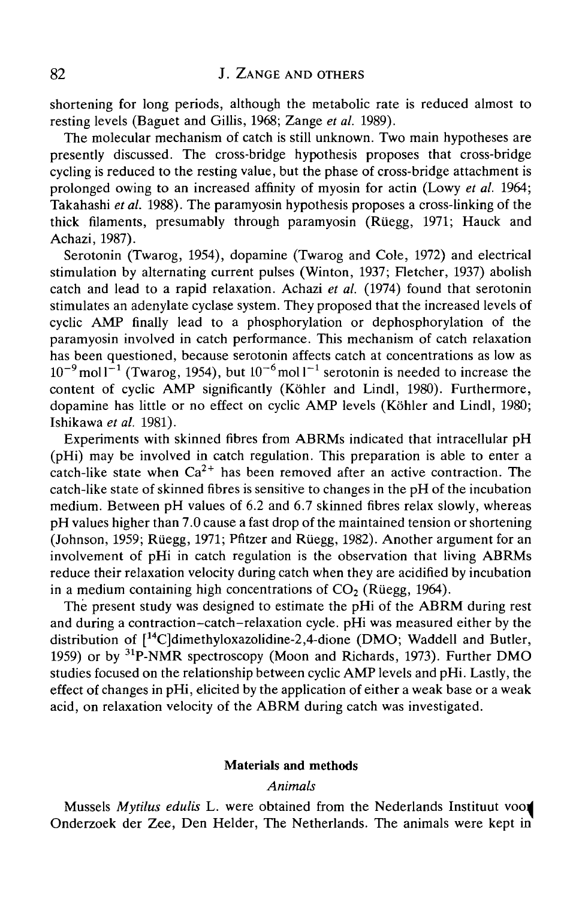shortening for long periods, although the metabolic rate is reduced almost to resting levels (Baguet and Gillis, 1968; Zange *et al.* 1989).

The molecular mechanism of catch is still unknown. Two main hypotheses are presently discussed. The cross-bridge hypothesis proposes that cross-bridge cycling is reduced to the resting value, but the phase of cross-bridge attachment is prolonged owing to an increased affinity of myosin for actin (Lowy *et al.* 1964; Takahashi *et al.* 1988). The paramyosin hypothesis proposes a cross-linking of the thick filaments, presumably through paramyosin (Rüegg, 1971; Hauck and Achazi, 1987).

Serotonin (Twarog, 1954), dopamine (Twarog and Cole, 1972) and electrical stimulation by alternating current pulses (Winton, 1937; Fletcher, 1937) abolish catch and lead to a rapid relaxation. Achazi *et al.* (1974) found that serotonin stimulates an adenylate cyclase system. They proposed that the increased levels of cyclic AMP finally lead to a phosphorylation or dephosphorylation of the paramyosin involved in catch performance. This mechanism of catch relaxation has been questioned, because serotonin affects catch at concentrations as low as  $10^{-9}$  moll<sup>-1</sup> (Twarog, 1954), but  $10^{-6}$  moll<sup>-1</sup> serotonin is needed to increase the content of cyclic AMP significantly (Köhler and Lindl, 1980). Furthermore, dopamine has little or no effect on cyclic AMP levels (Köhler and Lindl, 1980; Ishikawa *et al.* 1981).

Experiments with skinned fibres from ABRMs indicated that intracellular pH (pHi) may be involved in catch regulation. This preparation is able to enter a catch-like state when  $Ca^{2+}$  has been removed after an active contraction. The catch-like state of skinned fibres is sensitive to changes in the pH of the incubation medium. Between pH values of 6.2 and 6.7 skinned fibres relax slowly, whereas pH values higher than 7.0 cause a fast drop of the maintained tension or shortening (Johnson, 1959; Riiegg, 1971; Pfitzer and Riiegg, 1982). Another argument for an involvement of pHi in catch regulation is the observation that living ABRMs reduce their relaxation velocity during catch when they are acidified by incubation in a medium containing high concentrations of  $CO<sub>2</sub>$  (Rüegg, 1964).

The present study was designed to estimate the pHi of the ABRM during rest and during a contraction-catch-relaxation cycle. pHi was measured either by the distribution of  $[{}^{14}C]$ dimethyloxazolidine-2,4-dione (DMO; Waddell and Butler, 1959) or by 31P-NMR spectroscopy (Moon and Richards, 1973). Further DMO studies focused on the relationship between cyclic AMP levels and pHi. Lastly, the effect of changes in pHi, elicited by the application of either a weak base or a weak acid, on relaxation velocity of the ABRM during catch was investigated.

#### Materials and methods

## *Animals*

Mussels *Mytilus edulis* L. were obtained from the Nederlands Instituut voojl Onderzoek der Zee, Den Helder, The Netherlands. The animals were kept in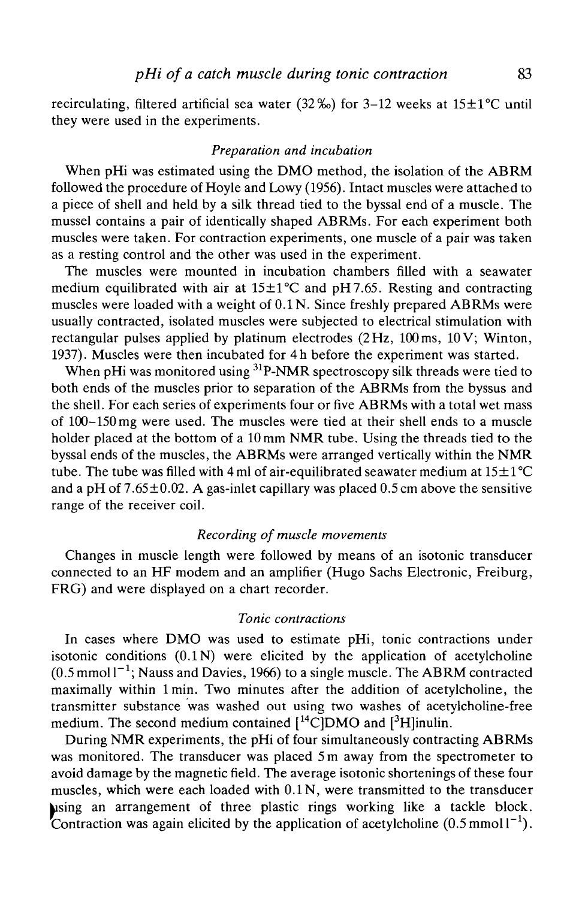recirculating, filtered artificial sea water (32‰) for 3-12 weeks at  $15\pm1$ °C until they were used in the experiments.

## *Preparation and incubation*

When pHi was estimated using the DMO method, the isolation of the ABRM followed the procedure of Hoyle and Lowy (1956). Intact muscles were attached to a piece of shell and held by a silk thread tied to the byssal end of a muscle. The mussel contains a pair of identically shaped ABRMs. For each experiment both muscles were taken. For contraction experiments, one muscle of a pair was taken as a resting control and the other was used in the experiment.

The muscles were mounted in incubation chambers filled with a seawater medium equilibrated with air at  $15\pm1\textdegree C$  and pH7.65. Resting and contracting muscles were loaded with a weight of 0.1 N. Since freshly prepared ABRMs were usually contracted, isolated muscles were subjected to electrical stimulation with rectangular pulses applied by platinum electrodes (2 Hz, 100 ms, 10 V; Winton, 1937). Muscles were then incubated for 4h before the experiment was started.

When pHi was monitored using <sup>31</sup>P-NMR spectroscopy silk threads were tied to both ends of the muscles prior to separation of the ABRMs from the byssus and the shell. For each series of experiments four or five ABRMs with a total wet mass of 100-150 mg were used. The muscles were tied at their shell ends to a muscle holder placed at the bottom of a 10 mm NMR tube. Using the threads tied to the byssal ends of the muscles, the ABRMs were arranged vertically within the NMR tube. The tube was filled with 4 ml of air-equilibrated seawater medium at  $15 \pm 1^{\circ}C$ and a pH of  $7.65\pm0.02$ . A gas-inlet capillary was placed 0.5 cm above the sensitive range of the receiver coil.

## *Recording of muscle movements*

Changes in muscle length were followed by means of an isotonic transducer connected to an HF modem and an amplifier (Hugo Sachs Electronic, Freiburg, FRG) and were displayed on a chart recorder.

#### *Tonic contractions*

In cases where DMO was used to estimate pHi, tonic contractions under isotonic conditions  $(0.1\text{N})$  were elicited by the application of acetylcholine  $(0.5 \text{ mmol l}^{-1})$ ; Nauss and Davies, 1966) to a single muscle. The ABRM contracted maximally within lmin. Two minutes after the addition of acetylcholine, the transmitter substance was washed out using two washes of acetylcholine-free medium. The second medium contained  $[{}^{14}C]$ DMO and  $[{}^{3}H]$ inulin.

During NMR experiments, the pHi of four simultaneously contracting ABRMs was monitored. The transducer was placed 5 m away from the spectrometer to avoid damage by the magnetic field. The average isotonic shortenings of these four muscles, which were each loaded with 0.1 N, were transmitted to the transducer using an arrangement of three plastic rings working like a tackle block. Contraction was again elicited by the application of acetylcholine  $(0.5 \text{ mmol l}^{-1})$ .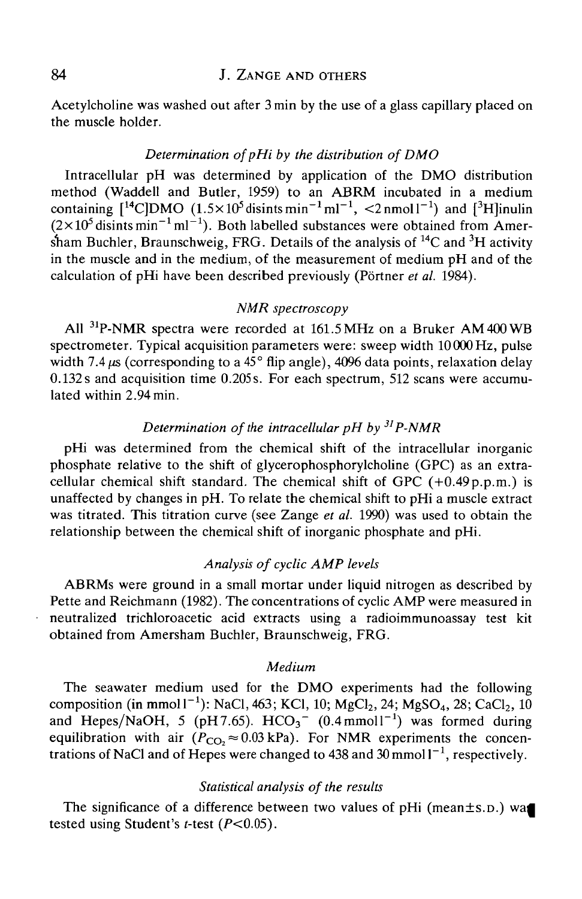## 84 **J. ZANGE AND OTHERS**

Acetylcholine was washed out after 3 min by the use of a glass capillary placed on the muscle holder.

#### *Determination ofpHi by the distribution of DMO*

Intracellular pH was determined by application of the DMO distribution method (Waddell and Butler, 1959) to an ABRM incubated in a medium containing  $[$ <sup>14</sup>C]DMO  $(1.5\times10^5$  disints min<sup>-1</sup> ml<sup>-1</sup>,  $\leq$ 2nmoll<sup>-1</sup>) and  $[$ <sup>3</sup>H]inulin  $(2\times10^5 \text{limits min}^{-1} \text{ml}^{-1})$ . Both labelled substances were obtained from Amersham Buchler, Braunschweig, FRG. Details of the analysis of <sup>14</sup>C and <sup>3</sup>H activity in the muscle and in the medium, of the measurement of medium pH and of the calculation of pHi have been described previously (Portner *et al.* 1984).

#### *NMR spectroscopy*

All <sup>31</sup>P-NMR spectra were recorded at 161.5 MHz on a Bruker AM 400 WB spectrometer. Typical acquisition parameters were: sweep width 10000 Hz, pulse width 7.4  $\mu$ s (corresponding to a 45 $^{\circ}$  flip angle), 4096 data points, relaxation delay 0.132 s and acquisition time 0.205 s. For each spectrum, 512 scans were accumulated within 2.94min.

## *Determination of the intracellular pH by 31P-NMR*

pHi was determined from the chemical shift of the intracellular inorganic phosphate relative to the shift of glycerophosphorylcholine (GPC) as an extracellular chemical shift standard. The chemical shift of GPC  $(+0.49 p.p.m.)$  is unaffected by changes in pH. To relate the chemical shift to pHi a muscle extract was titrated. This titration curve (see Zange *et al.* 1990) was used to obtain the relationship between the chemical shift of inorganic phosphate and pHi.

## *Analysis of cyclic AMP levels*

ABRMs were ground in a small mortar under liquid nitrogen as described by Pette and Reichmann (1982). The concentrations of cyclic AMP were measured in neutralized trichloroacetic acid extracts using a radioimmunoassay test kit obtained from Amersham Buchler, Braunschweig, FRG.

#### *Medium*

The seawater medium used for the DMO experiments had the following composition (in mmol  $1^{-1}$ ): NaCl, 463; KCl, 10; MgCl<sub>2</sub>, 24; MgSO<sub>4</sub>, 28; CaCl<sub>2</sub>, 10 and Hepes/NaOH, 5 (pH7.65).  $HCO<sub>3</sub><sup>-</sup>$  (0.4 mmol1<sup>-1</sup>) was formed during equilibration with air  $(P_{CO_2} \approx 0.03 \text{ kPa})$ . For NMR experiments the concentrations of NaCl and of Hepes were changed to 438 and  $30$  mmol  $1^{-1}$ , respectively.

## *Statistical analysis of the results*

The significance of a difference between two values of pHi (mean $\pm$ s.p.) wa tested using Student's *t*-test  $(P<0.05)$ .

 $\ddot{\phantom{1}}$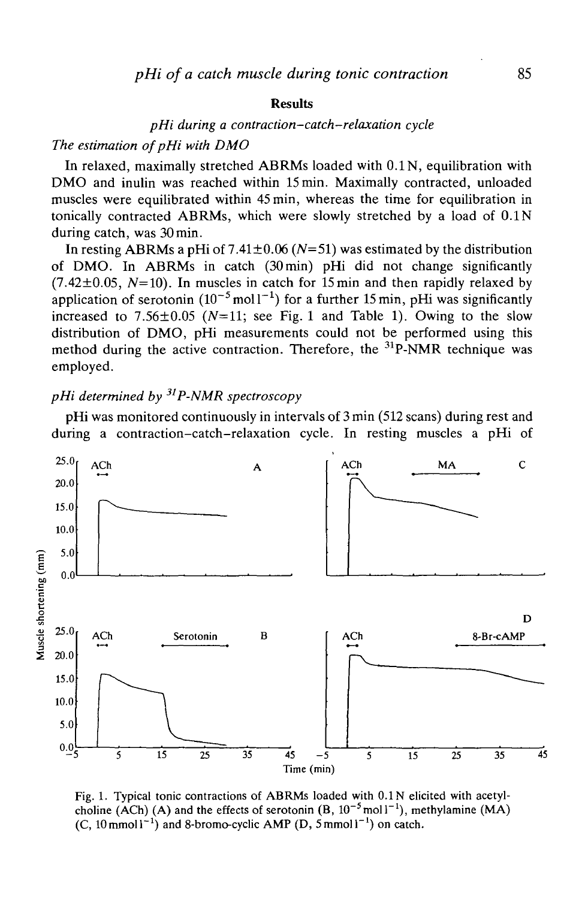#### **Results**

## *pHi during a contraction-catch-relaxation cycle*

## The estimation of pHi with DMO

In relaxed, maximally stretched ABRMs loaded with 0.1 N, equilibration with DMO and inulin was reached within 15 min. Maximally contracted, unloaded muscles were equilibrated within 45 min, whereas the time for equilibration in tonically contracted ABRMs, which were slowly stretched by a load of 0.1 N during catch, was 30 min.

In resting ABRMs a pHi of 7.41±0.06 *(N=51)* was estimated by the distribution of DMO. In ABRMs in catch (30min) pHi did not change significantly  $(7.42\pm0.05, N=10)$ . In muscles in catch for 15 min and then rapidly relaxed by application of serotonin  $(10^{-5} \text{mol}^{-1})$  for a further 15 min, pHi was significantly increased to  $7.56\pm0.05$  ( $N=11$ ; see Fig. 1 and Table 1). Owing to the slow distribution of DMO, pHi measurements could not be performed using this method during the active contraction. Therefore, the <sup>31</sup>P-NMR technique was employed.

## *pHi determined by 31P-NMR spectroscopy*

pHi was monitored continuously in intervals of 3 min (512 scans) during rest and during a contraction-catch-relaxation cycle. In resting muscles a pHi of



Fig. 1. Typical tonic contractions of ABRMs loaded with 0.1 N elicited with acetylcholine (ACh) (A) and the effects of serotonin  $(B, 10^{-5} \text{mol}^{-1})$ , methylamine (MA)  $(C, 10 \text{ mmol1}^{-1})$  and 8-bromo-cyclic AMP (D, 5 mmol1<sup>-1</sup>) on catch.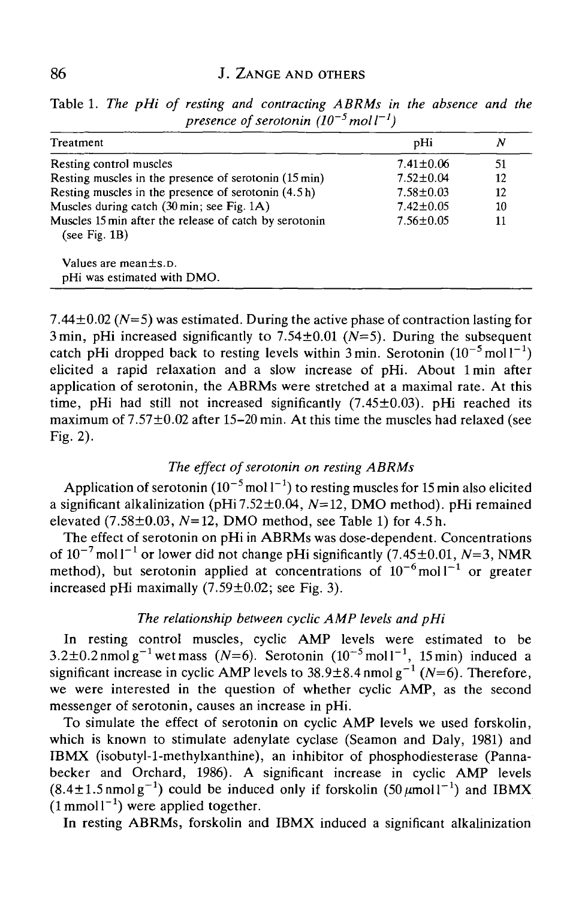| Treatment                                                                  | pHi             | Ν  |
|----------------------------------------------------------------------------|-----------------|----|
| Resting control muscles                                                    | $7.41 \pm 0.06$ | 51 |
| Resting muscles in the presence of serotonin (15 min)                      | $7.52 \pm 0.04$ | 12 |
| Resting muscles in the presence of serotonin (4.5h)                        | $7.58 \pm 0.03$ | 12 |
| Muscles during catch $(30 \text{ min}; \text{ see Fig. 1A})$               | $7.42 \pm 0.05$ | 10 |
| Muscles 15 min after the release of catch by serotonin<br>(see Fig. $1B$ ) | $7.56 \pm 0.05$ | 11 |
| Values are mean $\pm$ s. D.<br>pHi was estimated with DMO.                 |                 |    |

Table 1. *The pHi of resting and contracting ABRMs in the absence and the*  $p$ *resence of serotonin*  $(10^{-5}$ *mol* $1^{-1})$ 

7.44±0.02 *(N=5)* was estimated. During the active phase of contraction lasting for 3 min, pHi increased significantly to  $7.54 \pm 0.01$  ( $N=5$ ). During the subsequent catch pHi dropped back to resting levels within  $3 \text{ min}$ . Serotonin  $(10^{-5} \text{ mol}1^{-1})$ elicited a rapid relaxation and a slow increase of pHi. About lmin after application of serotonin, the ABRMs were stretched at a maximal rate. At this time, pHi had still not increased significantly  $(7.45\pm0.03)$ . pHi reached its maximum of  $7.57\pm0.02$  after 15-20 min. At this time the muscles had relaxed (see Fig. 2).

## *The effect of serotonin on resting ABRMs*

Application of serotonin  $(10^{-5}$  mol  $1^{-1}$ ) to resting muscles for 15 min also elicited a significant alkalinization (pHi 7.52 $\pm$ 0.04, N=12, DMO method). pHi remained elevated (7.58±0.03, *N=12,* DMO method, see Table 1) for 4.5 h.

The effect of serotonin on pHi in ABRMs was dose-dependent. Concentrations of  $10^{-7}$  mol l<sup>-1</sup> or lower did not change pHi significantly (7.45 $\pm$ 0.01, N=3, NMR method), but serotonin applied at concentrations of  $10^{-6}$  moll<sup>-1</sup> or greater increased pHi maximally  $(7.59 \pm 0.02)$ ; see Fig. 3).

## *The relationship between cyclic AMP levels and pHi*

In resting control muscles, cyclic AMP levels were estimated to be  $3.2\pm0.2$  nmolg<sup>-1</sup> wet mass (N=6). Serotonin (10<sup>-5</sup> moll<sup>-1</sup>, 15 min) induced a significant increase in cyclic AMP levels to  $38.9\pm8.4$  nmol g<sup>-1</sup> (N=6). Therefore, we were interested in the question of whether cyclic AMP, as the second messenger of serotonin, causes an increase in pHi.

To simulate the effect of serotonin on cyclic AMP levels we used forskolin, which is known to stimulate adenylate cyclase (Seamon and Daly, 1981) and IB MX (isobutyl-1-methylxanthine), an inhibitor of phosphodiesterase (Pannabecker and Orchard, 1986). A significant increase in cyclic AMP levels  $(8.4 \pm 1.5 \text{ nmol g}^{-1})$  could be induced only if forskolin  $(50 \mu \text{mol})^{-1}$  and IBMX  $(1 \text{ mmol1}^{-1})$  were applied together.

In resting ABRMs, forskolin and IBMX induced a significant alkalinization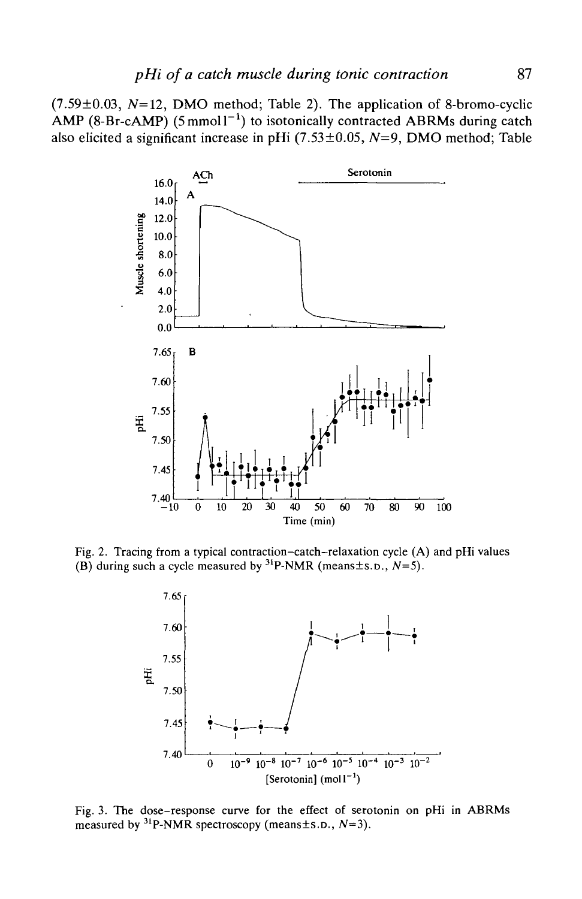$(7.59\pm0.03, N=12, DMO$  method; Table 2). The application of 8-bromo-cyclic AMP (8-Br-cAMP) (5 mmol1<sup>-1</sup>) to isotonically contracted ABRMs during catch also elicited a significant increase in pHi (7.53±0.05, *N=9,* DMO method; Table



Fig. 2. Tracing from a typical contraction-catch-relaxation cycle (A) and pHi values (B) during such a cycle measured by  ${}^{31}P\text{-NMR}$  (means ± s.p.,  $N=5$ ).



Fig. 3. The dose-response curve for the effect of serotonin on pHi in ABRMs measured by 31P-NMR spectroscopy (means±s.D., *N=3).*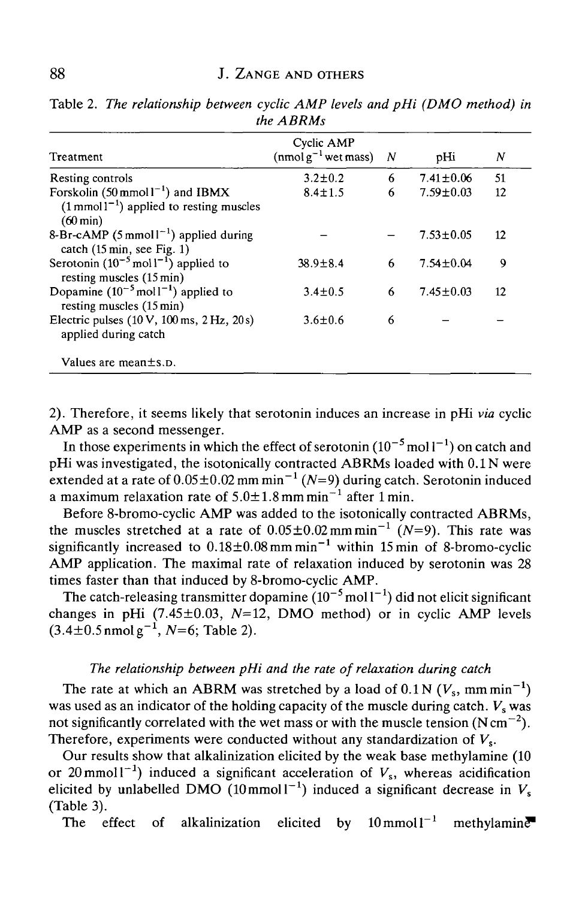| Treatment                                                                                                                      | Cyclic AMP<br>$(nmol g^{-1}$ wet mass) | $\boldsymbol{N}$ | pHi             | N  |
|--------------------------------------------------------------------------------------------------------------------------------|----------------------------------------|------------------|-----------------|----|
| Resting controls                                                                                                               | $3.2 \pm 0.2$                          | 6                | $7.41 \pm 0.06$ | 51 |
| Forskolin $(50 \text{ mmol1}^{-1})$ and IBMX<br>$(1 \text{ mmol } 1^{-1})$ applied to resting muscles<br>$(60 \,\mathrm{min})$ | $8.4 \pm 1.5$                          | 6                | $7.59 \pm 0.03$ | 12 |
| 8-Br-cAMP (5 mmol <sup><math>1^{-1}</math></sup> ) applied during<br>catch $(15 \text{ min}, \text{see Fig. 1})$               |                                        |                  | $7.53 \pm 0.05$ | 12 |
| Serotonin $(10^{-5} \text{ mol}^{-1})$ applied to<br>resting muscles (15 min)                                                  | $38.9 \pm 8.4$                         | 6                | $7.54 \pm 0.04$ | 9  |
| Dopamine $(10^{-5} \text{ mol} \text{1}^{-1})$ applied to<br>resting muscles $(15 \text{ min})$                                | $3.4 \pm 0.5$                          | 6                | $7.45 \pm 0.03$ | 12 |
| Electric pulses $(10 \text{ V}, 100 \text{ ms}, 2 \text{ Hz}, 20 \text{ s})$<br>applied during catch                           | $3.6 \pm 0.6$                          | 6                |                 |    |
| Values are mean $\pm$ s. p.                                                                                                    |                                        |                  |                 |    |

Table *2. The relationship between cyclic AMP levels and pHi (DMO method) in the ABRMs*

2). Therefore, it seems likely that serotonin induces an increase in pHi *via* cyclic AMP as a second messenger.

In those experiments in which the effect of serotonin  $(10^{-5}$  mol  $1^{-1})$  on catch and pHi was investigated, the isotonically contracted ABRMs loaded with 0.1N were extended at a rate of  $0.05 \pm 0.02$  mm min<sup>-1</sup> (*N*=9) during catch. Serotonin induced a maximum relaxation rate of  $5.0 \pm 1.8$  mm min<sup>-1</sup> after 1 min.

Before 8-bromo-cyclic AMP was added to the isotonically contracted ABRMs, the muscles stretched at a rate of  $0.05 \pm 0.02$  mm min<sup>-1</sup> (N=9). This rate was significantly increased to  $0.18 \pm 0.08$  mm min<sup>-1</sup> within 15 min of 8-bromo-cyclic AMP application. The maximal rate of relaxation induced by serotonin was 28 times faster than that induced by 8-bromo-cyclic AMP.

The catch-releasing transmitter dopamine  $(10^{-5}$  mol  $1^{-1})$  did not elicit significant changes in pHi  $(7.45\pm0.03, N=12, DMO$  method) or in cyclic AMP levels  $(3.4\pm0.5 \text{ n} \text{mol g}^{-1}, N=6; \text{Table 2}).$ 

## *The relationship between pHi and the rate of relaxation during catch*

The rate at which an ABRM was stretched by a load of  $0.1 N$  ( $V_s$ , mm min<sup>-1</sup>) was used as an indicator of the holding capacity of the muscle during catch.  $V_s$  was not significantly correlated with the wet mass or with the muscle tension (N cm<sup>-2</sup>). Therefore, experiments were conducted without any standardization of  $V_s$ .

Our results show that alkalinization elicited by the weak base methylamine (10 or 20 mmol  $1^{-1}$ ) induced a significant acceleration of  $V_s$ , whereas acidification elicited by unlabelled DMO  $(10 \text{mmol l}^{-1})$  induced a significant decrease in  $V_s$ (Table 3).

The effect of alkalinization elicited by  $10 \text{ mmol}1^{-1}$  $m$ ethylamin $\overline{e}$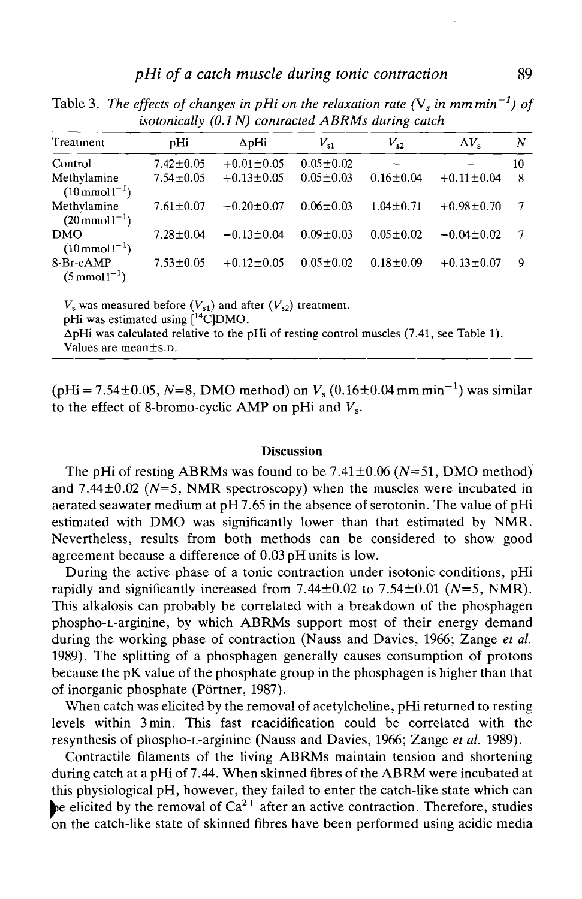| Treatment                                  | pHi             | $\Delta$ pHi     | $V_{s1}$        | $V_{s2}$        | $\Delta V.$      | N  |
|--------------------------------------------|-----------------|------------------|-----------------|-----------------|------------------|----|
| Control                                    | $7.42 \pm 0.05$ | $+0.01 \pm 0.05$ | $0.05 \pm 0.02$ |                 |                  | 10 |
| Methylamine<br>$(10 \text{ mmol l}^{-1})$  | $7.54 \pm 0.05$ | $+0.13 \pm 0.05$ | $0.05 \pm 0.03$ | $0.16 \pm 0.04$ | $+0.11 \pm 0.04$ | 8  |
| Methylamine<br>$(20 \text{ mmol } 1^{-1})$ | $7.61 + 0.07$   | $+0.20 \pm 0.07$ | $0.06 \pm 0.03$ | $1.04 + 0.71$   | $+0.98 \pm 0.70$ |    |
| <b>DMO</b><br>$(10 \text{ mmol}1^{-1})$    | $7.28 \pm 0.04$ | $-0.13 + 0.04$   | $0.09 + 0.03$   | $0.05 \pm 0.02$ | $-0.04 \pm 0.02$ | 7  |
| 8-Br-cAMP<br>$(5 \text{ mmol } 1^{-1})$    | $7.53 \pm 0.05$ | $+0.12 \pm 0.05$ | $0.05 \pm 0.02$ | $0.18 \pm 0.09$ | $+0.13 \pm 0.07$ | 9  |

Table 3. The effects of changes in pHi on the relaxation rate  $(V_s$  in mm min<sup>-1</sup>) of *isotonically (0.1 N) contracted ABRMs during catch*

 $V_s$  was measured before  $(V_{s1})$  and after  $(V_{s2})$  treatment. pHi was estimated using [<sup>14</sup>C]DMO. ApHi was calculated relative to the pHi of resting control muscles (7.41, see Table 1). Values are mean±s.D.

 $(p\text{Hi} = 7.54 \pm 0.05, N=8, \text{ DMO method})$  on  $V_s(0.16 \pm 0.04 \text{ mm min}^{-1})$  was similar to the effect of 8-bromo-cyclic AMP on pHi and  $V_s$ .

#### **Discussion**

The pHi of resting ABRMs was found to be 7.41±0.06 *(N=51,* DMO method) and 7.44±0.02 *(N=5,* NMR spectroscopy) when the muscles were incubated in aerated seawater medium at pH 7.65 in the absence of serotonin. The value of pHi estimated with DMO was significantly lower than that estimated by NMR. Nevertheless, results from both methods can be considered to show good agreement because a difference of 0.03 pH units is low.

During the active phase of a tonic contraction under isotonic conditions, pHi rapidly and significantly increased from 7.44±0.02 to 7.54±0.01 *(N=5,* NMR). This alkalosis can probably be correlated with a breakdown of the phosphagen phospho-L-arginine, by which ABRMs support most of their energy demand during the working phase of contraction (Nauss and Davies, 1966; Zange *et al.* 1989). The splitting of a phosphagen generally causes consumption of protons because the pK value of the phosphate group in the phosphagen is higher than that of inorganic phosphate (Portner, 1987).

When catch was elicited by the removal of acetylcholine, pHi returned to resting levels within 3min. This fast reacidification could be correlated with the resynthesis of phospho-L-arginine (Nauss and Davies, 1966; Zange *et al.* 1989).

Contractile filaments of the living ABRMs maintain tension and shortening during catch at a pHi of 7.44. When skinned fibres of the ABRM were incubated at this physiological pH, however, they failed to enter the catch-like state which can be elicited by the removal of  $Ca^{2+}$  after an active contraction. Therefore, studies on the catch-like state of skinned fibres have been performed using acidic media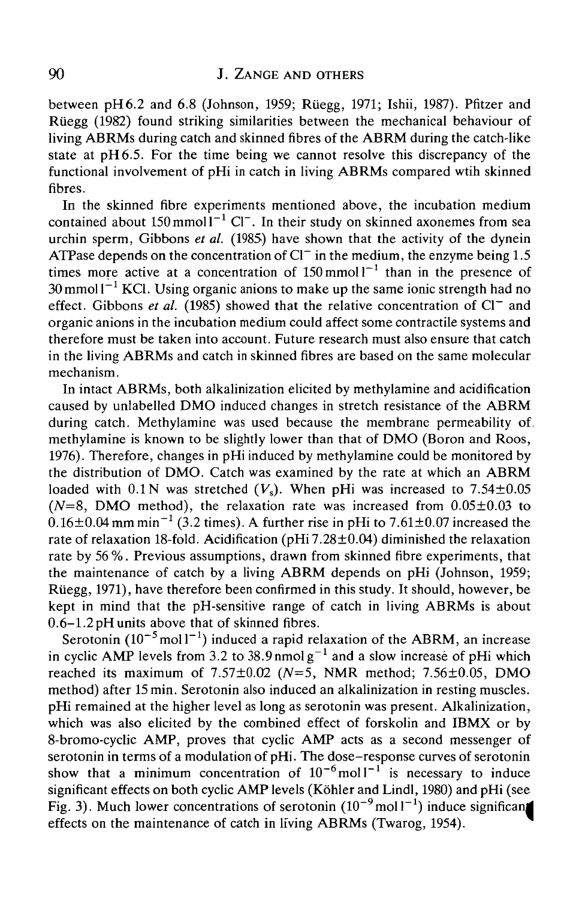between  $pH6.2$  and 6.8 (Johnson, 1959; Rüegg, 1971; Ishii, 1987). Pfitzer and Riiegg (1982) found striking similarities between the mechanical behaviour of living ABRMs during catch and skinned fibres of the ABRM during the catch-like state at pH6.5. For the time being we cannot resolve this discrepancy of the functional involvement of pHi in catch in living ABRMs compared wtih skinned fibres.

In the skinned fibre experiments mentioned above, the incubation medium contained about  $150$  mmoll<sup>-1</sup> Cl<sup>-</sup>. In their study on skinned axonemes from sea urchin sperm, Gibbons *et al.* (1985) have shown that the activity of the dynein ATPase depends on the concentration of  $Cl^-$  in the medium, the enzyme being 1.5 times more active at a concentration of  $150 \text{ mmol}1^{-1}$  than in the presence of 30 mmol l $^{-1}$  KCl. Using organic anions to make up the same ionic strength had no effect. Gibbons *et al.* (1985) showed that the relative concentration of  $Cl^-$  and organic anions in the incubation medium could affect some contractile systems and therefore must be taken into account. Future research must also ensure that catch in the living ABRMs and catch in skinned fibres are based on the same molecular mechanism.

In intact ABRMs, both alkalinization elicited by methylamine and acidification caused by unlabelled DMO induced changes in stretch resistance of the ABRM during catch. Methylamine was used because the membrane permeability of. methylamine is known to be slightly lower than that of DMO (Boron and Roos, 1976). Therefore, changes in pHi induced by methylamine could be monitored by the distribution of DMO. Catch was examined by the rate at which an ABRM loaded with  $0.1 \text{ N}$  was stretched  $(V_s)$ . When pHi was increased to  $7.54 \pm 0.05$  $(N=8, \text{ DMO method})$ , the relaxation rate was increased from  $0.05\pm0.03$  to  $0.16\pm0.04$  mm min<sup>-1</sup> (3.2 times). A further rise in pHi to 7.61 $\pm0.07$  increased the rate of relaxation 18-fold. Acidification (pHi 7.28 $\pm$ 0.04) diminished the relaxation rate by 56%. Previous assumptions, drawn from skinned fibre experiments, that the maintenance of catch by a living ABRM depends on pHi (Johnson, 1959; Riiegg, 1971), have therefore been confirmed in this study. It should, however, be kept in mind that the pH-sensitive range of catch in living ABRMs is about 0.6-1.2 pH units above that of skinned fibres.

Serotonin (10<sup>-5</sup> mol1<sup>-1</sup>) induced a rapid relaxation of the ABRM, an increase in cyclic AMP levels from 3.2 to 38.9 nmolg<sup>-1</sup> and a slow increase of pHi which reached its maximum of 7.57±0.O2 *(N=5,* NMR method; 7.56±0.05, DMO method) after 15 min. Serotonin also induced an alkalinization in resting muscles. pHi remained at the higher level as long as serotonin was present. Alkalinization, which was also elicited by the combined effect of forskolin and IBMX or by 8-bromo-cyclic AMP, proves that cyclic AMP acts as a second messenger of serotonin in terms of a modulation of pHi. The dose-response curves of serotonin show that a minimum concentration of  $10^{-6}$  moll<sup>-1</sup> is necessary to induce significant effects on both cyclic AMP levels (Köhler and Lindl, 1980) and pHi (see Fig. 3). Much lower concentrations of serotonin  $(10^{-9} \text{ mol} 1^{-1})$  induce significant effects on the maintenance of catch in living ABRMs (Twarog, 1954).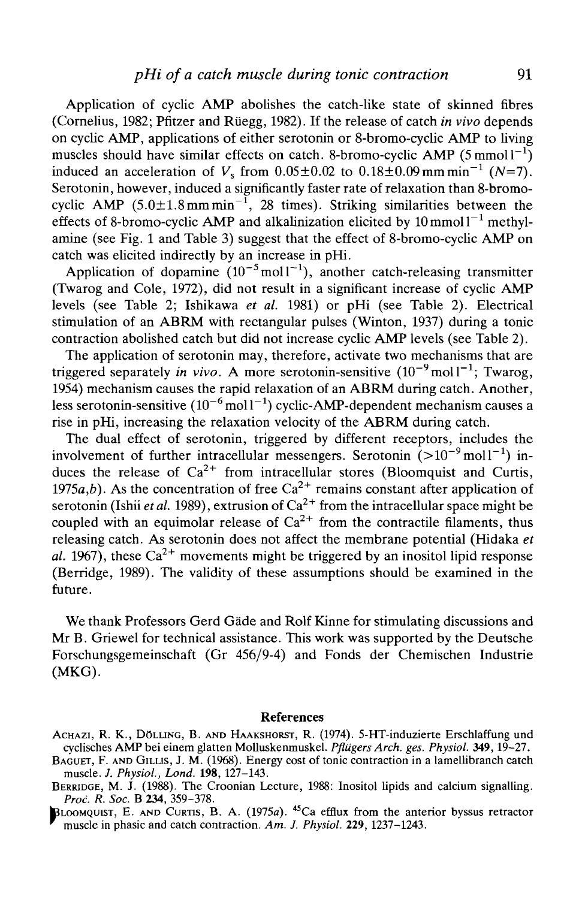Application of cyclic AMP abolishes the catch-like state of skinned fibres (Cornelius, 1982; Pfitzer and Riiegg, 1982). If the release of catch *in vivo* depends on cyclic AMP, applications of either serotonin or 8-bromo-cyclic AMP to living muscles should have similar effects on catch. 8-bromo-cyclic AMP (5 mmol $1^{-1}$ ) induced an acceleration of  $V_s$  from  $0.05 \pm 0.02$  to  $0.18 \pm 0.09$  mm min<sup>-1</sup> (N=7). Serotonin, however, induced a significantly faster rate of relaxation than 8-bromocyclic AMP  $(5.0 \pm 1.8 \text{ mm min}^{-1}, 28 \text{ times})$ . Striking similarities between the effects of 8-bromo-cyclic AMP and alkalinization elicited by  $10 \text{ mmol } 1^{-1}$  methylamine (see Fig. 1 and Table 3) suggest that the effect of 8-bromo-cyclic AMP on catch was elicited indirectly by an increase in pHi.

Application of dopamine  $(10^{-5} \text{mol}^{-1})$ , another catch-releasing transmitter (Twarog and Cole, 1972), did not result in a significant increase of cyclic AMP levels (see Table 2; Ishikawa *et al.* 1981) or pHi (see Table 2). Electrical stimulation of an ABRM with rectangular pulses (Winton, 1937) during a tonic contraction abolished catch but did not increase cyclic AMP levels (see Table 2).

The application of serotonin may, therefore, activate two mechanisms that are triggered separately *in vivo*. A more serotonin-sensitive  $(10^{-9} \text{mol}^{-1})$ ; Twarog, 1954) mechanism causes the rapid relaxation of an ABRM during catch. Another, less serotonin-sensitive  $(10^{-6} \,\mathrm{mol}\,l^{-1})$  cyclic-AMP-dependent mechanism causes a rise in pHi, increasing the relaxation velocity of the ABRM during catch.

The dual effect of serotonin, triggered by different receptors, includes the involvement of further intracellular messengers. Serotonin  $(>10^{-9} \text{ mol}1^{-1})$  induces the release of  $Ca^{2+}$  from intracellular stores (Bloomquist and Curtis, 1975a,b). As the concentration of free  $Ca^{2+}$  remains constant after application of serotonin (Ishii *et al*. 1989), extrusion of Ca<sup>2+</sup> from the intracellular space might be coupled with an equimolar release of  $Ca^{2+}$  from the contractile filaments, thus releasing catch. As serotonin does not affect the membrane potential (Hidaka *et* al. 1967), these  $Ca^{2+}$  movements might be triggered by an inositol lipid response (Berridge, 1989). The validity of these assumptions should be examined in the future.

We thank Professors Gerd Gade and Rolf Kinne for stimulating discussions and Mr B. Griewel for technical assistance. This work was supported by the Deutsche Forschungsgemeinschaft (Gr 456/9-4) and Fonds der Chemischen Industrie (MKG).

#### References

ACHAZI, R. K., DOLLING, B. AND HAAKSHORST, R. (1974). 5-HT-induzierte Erschlaffung und cyclisches AMP bei einem glatten Molluskenmuskel. *Pfliigers Arch. ges. Physiol.* **349,**19-27.

BAGUET, F. AND GILUS, J. M. (1968). Energy cost of tonic contraction in a lamellibranch catch muscle. *J. Physiol., Lond.* **198,** 127-143.

BERRIDGE, M. J. (1988). The Croonian Lecture, 1988: Inositol lipids and calcium signalling. *Prod. R. Soc.* B **234,** 359-378.

 $L$ OOMQUIST, E. AND CURTIS, B. A. (1975a). <sup>45</sup>Ca efflux from the anterior byssus retractor muscle in phasic and catch contraction. *Am. J. Physiol.* **229,**1237-1243.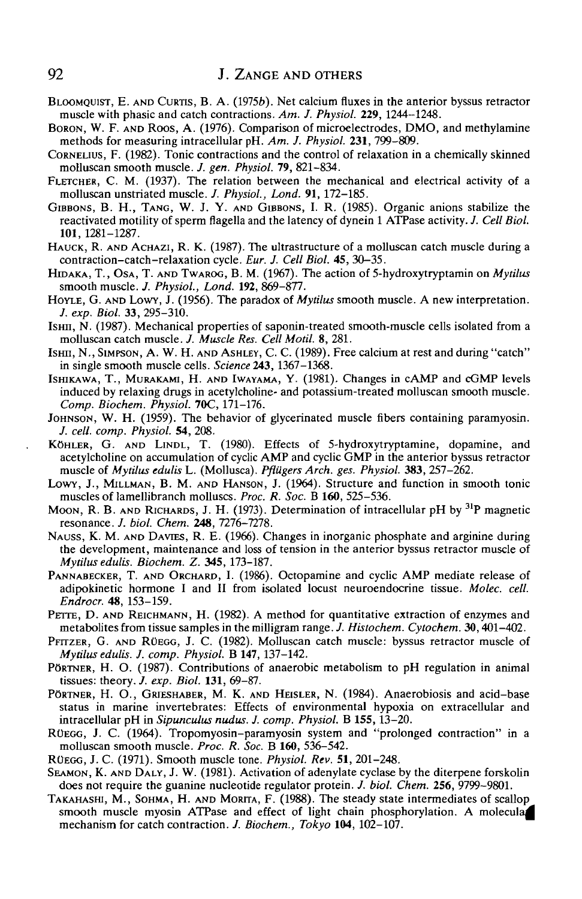- BLOOMQUIST, E. AND CURTIS, B. A. (19756). Net calcium fluxes in the anterior byssus retractor muscle with phasic and catch contractions. *Am. J. Physiol.* **229,** 1244-1248.
- BORON, W. F. AND ROOS, A. (1976). Comparison of microelectrodes, DMO, and methylamine methods for measuring intracellular pH. *Am. J. Physiol.* **231,** 799-809.
- CORNELIUS, F. (1982). Tonic contractions and the control of relaxation in a chemically skinned molluscan smooth muscle. *J. gen. Physiol.* **79,** 821-834.
- FLETCHER, C. M. (1937). The relation between the mechanical and electrical activity of a molluscan unstriated muscle. /. *Physiol., Lond.* **91,** 172-185.
- GIBBONS, B. H., TANG, W. J. Y. AND GIBBONS, I. R. (1985). Organic anions stabilize the reactivated motility of sperm flagella and the latency of dynein 1 ATPase activity. *J. Cell Biol.* **101,** 1281-1287.
- HAUCK, R. AND ACHAZI, R. K. (1987). The ultrastructure of a molluscan catch muscle during a contraction-catch-relaxation cycle. *Eur. J. Cell Biol.* **45,** 30-35.
- HIDAKA, T., OSA, T. AND TWAROG, B. M. (1967). The action of 5-hydroxytryptamin on *Mytilus* smooth muscle. *J. Physiol., Lond.* **192,** 869-877.
- HOYLE, G. AND LOWY, J. (1956). The paradox of *Mytilus* smooth muscle. A new interpretation. *J. exp. Biol.* **33,** 295-310.
- Ism, N. (1987). Mechanical properties of saponin-treated smooth-muscle cells isolated from a molluscan catch muscle. /. *Muscle Res. Cell Motil.* 8, 281.
- ISHU, N., SIMPSON, A. W. H. AND ASHLEY, C. C. (1989). Free calcium at rest and during "catch" in single smooth muscle cells. *Science* **243,** 1367-1368.
- ISHIKAWA, T., MURAKAMI, H. AND IWAYAMA, Y. (1981). Changes in cAMP and cGMP levels induced by relaxing drugs in acetylcholine- and potassium-treated molluscan smooth muscle. *Comp. Biochem. Physiol.* 70C, 171-176.
- JOHNSON, W. H. (1959). The behavior of glycerinated muscle fibers containing paramyosin. /. *cell. comp. Physiol.* **54,** 208.
- KOHLER, G. AND LINDL, T. (1980). Effects of 5-hydroxytryptamine, dopamine, and acetylcholine on accumulation of cyclic AMP and cyclic GMP in the anterior byssus retractor muscle of *Mytilus edulis* L. (Mollusca). *PflUgers Arch. ges. Physiol.* **383,** 257-262.
- LOWY, J., MILLMAN, B. M. AND HANSON, J. (1964). Structure and function in smooth tonic muscles of lamellibranch molluscs. *Proc. R. Soc.* B **160,** 525-536.
- MOON, R. B. AND RICHARDS, J. H. (1973). Determination of intracellular pH by 31P magnetic resonance. *J. biol. Chem.* **248,** 7276-7278.
- NAUSS, K. M. AND DAVTES, R. E. (1966). Changes in inorganic phosphate and arginine during the development, maintenance and loss of tension in the anterior byssus retractor muscle of *Mytilus edulis. Biochem. Z.* **345,** 173-187.
- PANNABECKER, T. AND ORCHARD, I. (1986). Octopamine and cyclic AMP mediate release of adipokinetic hormone I and II from isolated locust neuroendocrine tissue. *Molec. cell. Endrocr.* **48,** 153-159.
- PETTE, D. AND REICHMANN, H. (1982). A method for quantitative extraction of enzymes and metabolites from tissue samples in the milligram range. /. *Histochem. Cytochem.* **30,**401-402.
- PFITZER, G. AND RUEGG, J. C. (1982). Molluscan catch muscle: byssus retractor muscle of *Mytilus edulis. J. comp. Physiol.* B **147,** 137-142.
- PORTNER, H. O. (1987). Contributions of anaerobic metabolism to pH regulation in animal tissues: theory. *J. exp. Biol.* **131,** 69-87.
- PÖRTNER, H. O., GRIESHABER, M. K. AND HEISLER, N. (1984). Anaerobiosis and acid-base status in marine invertebrates: Effects of environmental hypoxia on extracellular and intracellular pH in *Sipunculus nudus. J. comp. Physiol.* B **155,**13-20.
- RUEGG, J. C. (1964). Tropomyosin-paramyosin system and "prolonged contraction" in a molluscan smooth muscle. *Proc. R. Soc.* B **160,** 536-542.
- RUEGG, J. C. (1971). Smooth muscle tone. *Physiol. Rev.* **51,** 201-248.
- SEAMON, K. AND DALY, J. W. (1981). Activation of adenylate cyclase by the diterpene forskolin does not require the guanine nucleotide regulator protein. *J. biol. Chem.* **256,** 9799-9801.
- TAKAHASHI, M., SOHMA, H. AND MORITA, F. (1988). The steady state intermediates of scallop smooth muscle myosin ATPase and effect of light chain phosphorylation. A molecula mechanism for catch contraction. *J. Biochem., Tokyo* **104,** 102-107.